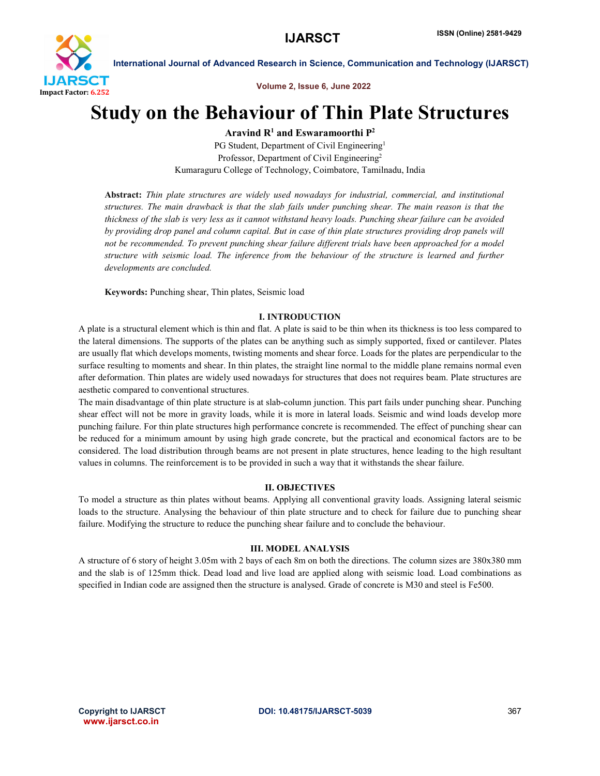

International Journal of Advanced Research in Science, Communication and Technology (IJARSCT)

Volume 2, Issue 6, June 2022

# Study on the Behaviour of Thin Plate Structures

Aravind  $R<sup>1</sup>$  and Eswaramoorthi  $P<sup>2</sup>$ 

PG Student, Department of Civil Engineering<sup>1</sup> Professor, Department of Civil Engineering2 Kumaraguru College of Technology, Coimbatore, Tamilnadu, India

Abstract: *Thin plate structures are widely used nowadays for industrial, commercial, and institutional structures. The main drawback is that the slab fails under punching shear. The main reason is that the thickness of the slab is very less as it cannot withstand heavy loads. Punching shear failure can be avoided by providing drop panel and column capital. But in case of thin plate structures providing drop panels will not be recommended. To prevent punching shear failure different trials have been approached for a model structure with seismic load. The inference from the behaviour of the structure is learned and further developments are concluded.*

Keywords: Punching shear, Thin plates, Seismic load

## I. INTRODUCTION

A plate is a structural element which is thin and flat. A plate is said to be thin when its thickness is too less compared to the lateral dimensions. The supports of the plates can be anything such as simply supported, fixed or cantilever. Plates are usually flat which develops moments, twisting moments and shear force. Loads for the plates are perpendicular to the surface resulting to moments and shear. In thin plates, the straight line normal to the middle plane remains normal even after deformation. Thin plates are widely used nowadays for structures that does not requires beam. Plate structures are aesthetic compared to conventional structures.

The main disadvantage of thin plate structure is at slab-column junction. This part fails under punching shear. Punching shear effect will not be more in gravity loads, while it is more in lateral loads. Seismic and wind loads develop more punching failure. For thin plate structures high performance concrete is recommended. The effect of punching shear can be reduced for a minimum amount by using high grade concrete, but the practical and economical factors are to be considered. The load distribution through beams are not present in plate structures, hence leading to the high resultant values in columns. The reinforcement is to be provided in such a way that it withstands the shear failure.

### II. OBJECTIVES

To model a structure as thin plates without beams. Applying all conventional gravity loads. Assigning lateral seismic loads to the structure. Analysing the behaviour of thin plate structure and to check for failure due to punching shear failure. Modifying the structure to reduce the punching shear failure and to conclude the behaviour.

### III. MODEL ANALYSIS

A structure of 6 story of height 3.05m with 2 bays of each 8m on both the directions. The column sizes are 380x380 mm and the slab is of 125mm thick. Dead load and live load are applied along with seismic load. Load combinations as specified in Indian code are assigned then the structure is analysed. Grade of concrete is M30 and steel is Fe500.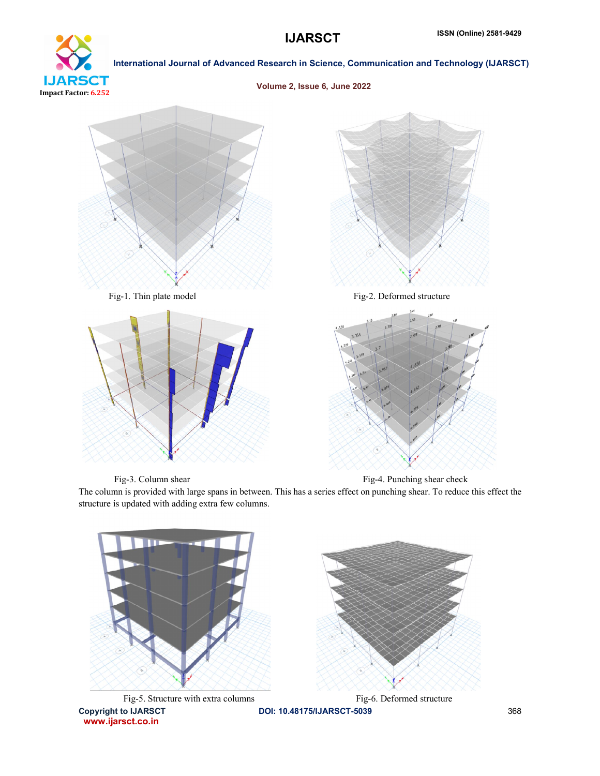

International Journal of Advanced Research in Science, Communication and Technology (IJARSCT)

Volume 2, Issue 6, June 2022



www.ijarsct.co.in

Fig-3. Column shear Fig-4. Punching shear check

The column is provided with large spans in between. This has a series effect on punching shear. To reduce this effect the structure is updated with adding extra few columns.